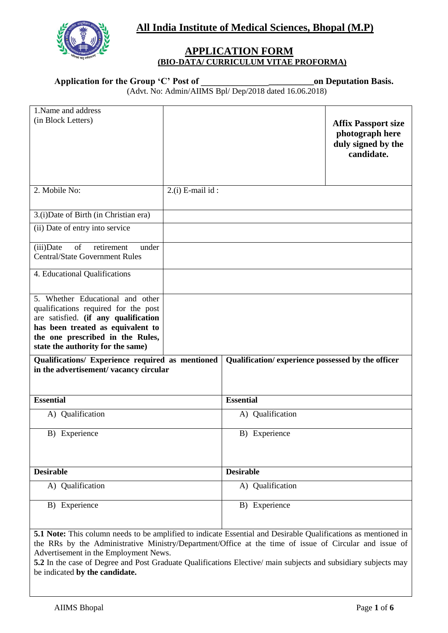**All India Institute of Medical Sciences, Bhopal (M.P)**



## **APPLICATION FORM (BIO-DATA/ CURRICULUM VITAE PROFORMA)**

# **Application for the Group 'C' Post of \_\_\_\_\_\_\_\_\_\_\_\_\_\_\_\_\_\_\_\_\_\_\_\_\_on Deputation Basis.**

(Advt. No: Admin/AIIMS Bpl/ Dep/2018 dated 16.06.2018)

| 1. Name and address<br>(in Block Letters)                                                                                                                                                                                      |                      |                                                   | <b>Affix Passport size</b><br>photograph here<br>duly signed by the<br>candidate. |  |
|--------------------------------------------------------------------------------------------------------------------------------------------------------------------------------------------------------------------------------|----------------------|---------------------------------------------------|-----------------------------------------------------------------------------------|--|
| 2. Mobile No:                                                                                                                                                                                                                  | $2.(i)$ E-mail $id:$ |                                                   |                                                                                   |  |
| 3.(i) Date of Birth (in Christian era)                                                                                                                                                                                         |                      |                                                   |                                                                                   |  |
| (ii) Date of entry into service                                                                                                                                                                                                |                      |                                                   |                                                                                   |  |
| (iii)Date<br>of<br>retirement<br>under<br><b>Central/State Government Rules</b>                                                                                                                                                |                      |                                                   |                                                                                   |  |
| 4. Educational Qualifications                                                                                                                                                                                                  |                      |                                                   |                                                                                   |  |
| 5. Whether Educational and other<br>qualifications required for the post<br>are satisfied. (if any qualification<br>has been treated as equivalent to<br>the one prescribed in the Rules,<br>state the authority for the same) |                      |                                                   |                                                                                   |  |
| Qualifications/ Experience required as mentioned<br>in the advertisement/vacancy circular                                                                                                                                      |                      | Qualification/experience possessed by the officer |                                                                                   |  |
| <b>Essential</b>                                                                                                                                                                                                               |                      | <b>Essential</b>                                  |                                                                                   |  |
| A) Qualification                                                                                                                                                                                                               |                      | A) Qualification                                  |                                                                                   |  |
| B) Experience                                                                                                                                                                                                                  |                      | B) Experience                                     |                                                                                   |  |
| <b>Desirable</b>                                                                                                                                                                                                               |                      | <b>Desirable</b>                                  |                                                                                   |  |
| A) Qualification                                                                                                                                                                                                               |                      | A) Qualification                                  |                                                                                   |  |
| B) Experience                                                                                                                                                                                                                  |                      | B) Experience                                     |                                                                                   |  |
| 5.1 Note: This column needs to be amplified to indicate Essential and Desirable Qualifications as mentioned in                                                                                                                 |                      |                                                   |                                                                                   |  |

the RRs by the Administrative Ministry/Department/Office at the time of issue of Circular and issue of Advertisement in the Employment News.

**5.2** In the case of Degree and Post Graduate Qualifications Elective/ main subjects and subsidiary subjects may be indicated **by the candidate.**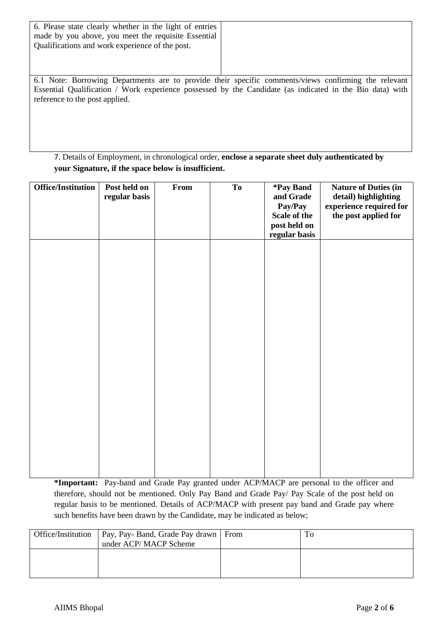| 6. Please state clearly whether in the light of entries<br>made by you above, you meet the requisite Essential<br>Qualifications and work experience of the post. |                                                                                                                                                                                                                  |
|-------------------------------------------------------------------------------------------------------------------------------------------------------------------|------------------------------------------------------------------------------------------------------------------------------------------------------------------------------------------------------------------|
| reference to the post applied.                                                                                                                                    | 6.1 Note: Borrowing Departments are to provide their specific comments/views confirming the relevant<br>Essential Qualification / Work experience possessed by the Candidate (as indicated in the Bio data) with |

7. Details of Employment, in chronological order, **enclose a separate sheet duly authenticated by your Signature, if the space below is insufficient.**

| <b>Office/Institution</b> | Post held on<br>regular basis | From | To | *Pay Band<br>and Grade<br>Pay/Pay<br>Scale of the<br>post held on<br>regular basis | <b>Nature of Duties (in</b><br>detail) highlighting<br>experience required for<br>the post applied for |
|---------------------------|-------------------------------|------|----|------------------------------------------------------------------------------------|--------------------------------------------------------------------------------------------------------|
|                           |                               |      |    |                                                                                    |                                                                                                        |
|                           |                               |      |    |                                                                                    |                                                                                                        |
|                           |                               |      |    |                                                                                    |                                                                                                        |
|                           |                               |      |    |                                                                                    |                                                                                                        |

**\*Important:** Pay-band and Grade Pay granted under ACP/MACP are personal to the officer and therefore, should not be mentioned. Only Pay Band and Grade Pay/ Pay Scale of the post held on regular basis to be mentioned. Details of ACP/MACP with present pay band and Grade pay where such benefits have been drawn by the Candidate, may be indicated as below;

| Office/Institution   Pay, Pay- Band, Grade Pay drawn   From<br>under ACP/MACP Scheme |  |
|--------------------------------------------------------------------------------------|--|
|                                                                                      |  |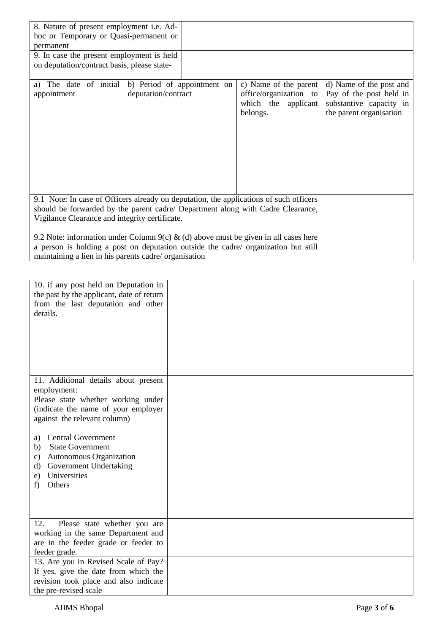| 8. Nature of present employment i.e. Ad-                                            |                                                                                        |                        |                         |
|-------------------------------------------------------------------------------------|----------------------------------------------------------------------------------------|------------------------|-------------------------|
| hoc or Temporary or Quasi-permanent or                                              |                                                                                        |                        |                         |
| permanent                                                                           |                                                                                        |                        |                         |
| 9. In case the present employment is held                                           |                                                                                        |                        |                         |
| on deputation/contract basis, please state-                                         |                                                                                        |                        |                         |
|                                                                                     |                                                                                        |                        |                         |
| a) The date of initial                                                              | b) Period of appointment on                                                            | c) Name of the parent  | d) Name of the post and |
| appointment                                                                         | deputation/contract                                                                    | office/organization to | Pay of the post held in |
|                                                                                     |                                                                                        | which the applicant    | substantive capacity in |
|                                                                                     |                                                                                        | belongs.               | the parent organisation |
|                                                                                     |                                                                                        |                        |                         |
|                                                                                     |                                                                                        |                        |                         |
|                                                                                     |                                                                                        |                        |                         |
|                                                                                     |                                                                                        |                        |                         |
|                                                                                     |                                                                                        |                        |                         |
|                                                                                     |                                                                                        |                        |                         |
|                                                                                     |                                                                                        |                        |                         |
|                                                                                     | 9.1 Note: In case of Officers already on deputation, the applications of such officers |                        |                         |
| should be forwarded by the parent cadre/ Department along with Cadre Clearance,     |                                                                                        |                        |                         |
|                                                                                     |                                                                                        |                        |                         |
| Vigilance Clearance and integrity certificate.                                      |                                                                                        |                        |                         |
| 9.2 Note: information under Column 9(c) & (d) above must be given in all cases here |                                                                                        |                        |                         |
| a person is holding a post on deputation outside the cadre/ organization but still  |                                                                                        |                        |                         |
| maintaining a lien in his parents cadre/ organisation                               |                                                                                        |                        |                         |
|                                                                                     |                                                                                        |                        |                         |

| 10. if any post held on Deputation in<br>the past by the applicant, date of return<br>from the last deputation and other<br>details. |  |
|--------------------------------------------------------------------------------------------------------------------------------------|--|
| 11. Additional details about present                                                                                                 |  |
| employment:                                                                                                                          |  |
| Please state whether working under                                                                                                   |  |
| (indicate the name of your employer                                                                                                  |  |
| against the relevant column)                                                                                                         |  |
|                                                                                                                                      |  |
| <b>Central Government</b><br>a)<br><b>State Government</b><br>b)                                                                     |  |
| Autonomous Organization<br>c)                                                                                                        |  |
| Government Undertaking<br>d)                                                                                                         |  |
| Universities<br>e)                                                                                                                   |  |
| Others<br>f)                                                                                                                         |  |
|                                                                                                                                      |  |
|                                                                                                                                      |  |
|                                                                                                                                      |  |
| 12.<br>Please state whether you are                                                                                                  |  |
| working in the same Department and                                                                                                   |  |
| are in the feeder grade or feeder to                                                                                                 |  |
| feeder grade.                                                                                                                        |  |
| 13. Are you in Revised Scale of Pay?                                                                                                 |  |
| If yes, give the date from which the                                                                                                 |  |
| revision took place and also indicate                                                                                                |  |
| the pre-revised scale                                                                                                                |  |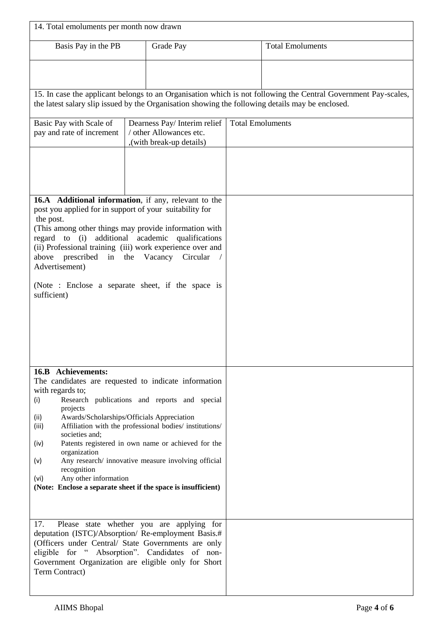| 14. Total emoluments per month now drawn                                                                                                                                                                                                                                                                                                                                                                                                                                                                                                                                    |                                                                                                  |                         |                                                                                                                |
|-----------------------------------------------------------------------------------------------------------------------------------------------------------------------------------------------------------------------------------------------------------------------------------------------------------------------------------------------------------------------------------------------------------------------------------------------------------------------------------------------------------------------------------------------------------------------------|--------------------------------------------------------------------------------------------------|-------------------------|----------------------------------------------------------------------------------------------------------------|
| Basis Pay in the PB                                                                                                                                                                                                                                                                                                                                                                                                                                                                                                                                                         | Grade Pay                                                                                        |                         | <b>Total Emoluments</b>                                                                                        |
|                                                                                                                                                                                                                                                                                                                                                                                                                                                                                                                                                                             | the latest salary slip issued by the Organisation showing the following details may be enclosed. |                         | 15. In case the applicant belongs to an Organisation which is not following the Central Government Pay-scales, |
|                                                                                                                                                                                                                                                                                                                                                                                                                                                                                                                                                                             |                                                                                                  |                         |                                                                                                                |
| Basic Pay with Scale of<br>pay and rate of increment                                                                                                                                                                                                                                                                                                                                                                                                                                                                                                                        | Dearness Pay/ Interim relief<br>/ other Allowances etc.<br>,(with break-up details)              | <b>Total Emoluments</b> |                                                                                                                |
|                                                                                                                                                                                                                                                                                                                                                                                                                                                                                                                                                                             |                                                                                                  |                         |                                                                                                                |
| 16.A Additional information, if any, relevant to the<br>post you applied for in support of your suitability for<br>the post.<br>(This among other things may provide information with<br>additional<br>regard to $(i)$<br>(ii) Professional training (iii) work experience over and<br>prescribed<br>above<br>Advertisement)<br>(Note : Enclose a separate sheet, if the space is<br>sufficient)                                                                                                                                                                            | academic<br>qualifications<br>in the Vacancy Circular                                            |                         |                                                                                                                |
| 16.B Achievements:<br>The candidates are requested to indicate information<br>with regards to;<br>Research publications and reports and special<br>(i)<br>projects<br>Awards/Scholarships/Officials Appreciation<br>(ii)<br>Affiliation with the professional bodies/ institutions/<br>(iii)<br>societies and;<br>Patents registered in own name or achieved for the<br>(iv)<br>organization<br>Any research/ innovative measure involving official<br>(v)<br>recognition<br>Any other information<br>(vi)<br>(Note: Enclose a separate sheet if the space is insufficient) |                                                                                                  |                         |                                                                                                                |
| Please state whether you are applying for<br>17.<br>deputation (ISTC)/Absorption/ Re-employment Basis.#<br>(Officers under Central/ State Governments are only<br>eligible for "Absorption". Candidates of non-<br>Government Organization are eligible only for Short<br>Term Contract)                                                                                                                                                                                                                                                                                    |                                                                                                  |                         |                                                                                                                |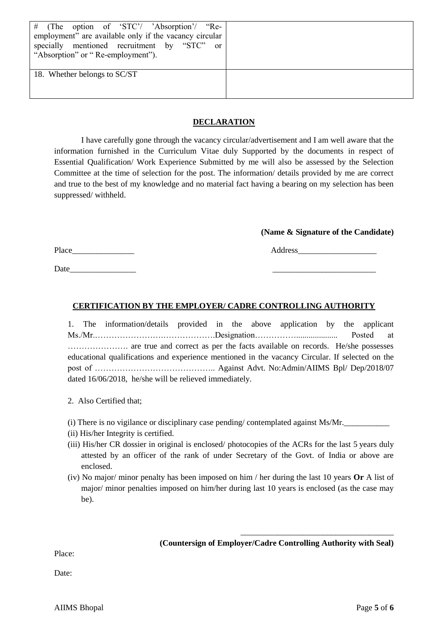| # (The option of 'STC'/ 'Absorption'/ "Re-<br>employment" are available only if the vacancy circular<br>specially mentioned recruitment by "STC"<br>0r<br>"Absorption" or "Re-employment"). |  |
|---------------------------------------------------------------------------------------------------------------------------------------------------------------------------------------------|--|
| 18. Whether belongs to SC/ST                                                                                                                                                                |  |

### **DECLARATION**

I have carefully gone through the vacancy circular/advertisement and I am well aware that the information furnished in the Curriculum Vitae duly Supported by the documents in respect of Essential Qualification/ Work Experience Submitted by me will also be assessed by the Selection Committee at the time of selection for the post. The information/ details provided by me are correct and true to the best of my knowledge and no material fact having a bearing on my selection has been suppressed/ withheld.

#### **(Name & Signature of the Candidate)**

Place Address

Date

## **CERTIFICATION BY THE EMPLOYER/ CADRE CONTROLLING AUTHORITY**

1. The information/details provided in the above application by the applicant Ms./Mr.…………………….……………….Designation…………….................... Posted at …………………. are true and correct as per the facts available on records. He/she possesses educational qualifications and experience mentioned in the vacancy Circular. If selected on the post of …………………………………….. Against Advt. No:Admin/AIIMS Bpl/ Dep/2018/07 dated 16/06/2018, he/she will be relieved immediately.

- 2. Also Certified that;
- (i) There is no vigilance or disciplinary case pending/ contemplated against  $M_s/Mr$ .
- (ii) His/her Integrity is certified.
- (iii) His/her CR dossier in original is enclosed/ photocopies of the ACRs for the last 5 years duly attested by an officer of the rank of under Secretary of the Govt. of India or above are enclosed.
- (iv) No major/ minor penalty has been imposed on him / her during the last 10 years **Or** A list of major/ minor penalties imposed on him/her during last 10 years is enclosed (as the case may be).

**(Countersign of Employer/Cadre Controlling Authority with Seal)**

\_\_\_\_\_\_\_\_\_\_\_\_\_\_\_\_\_\_\_\_\_\_\_\_\_\_\_\_\_\_\_\_\_\_\_\_\_

Place:

Date<sup>·</sup>